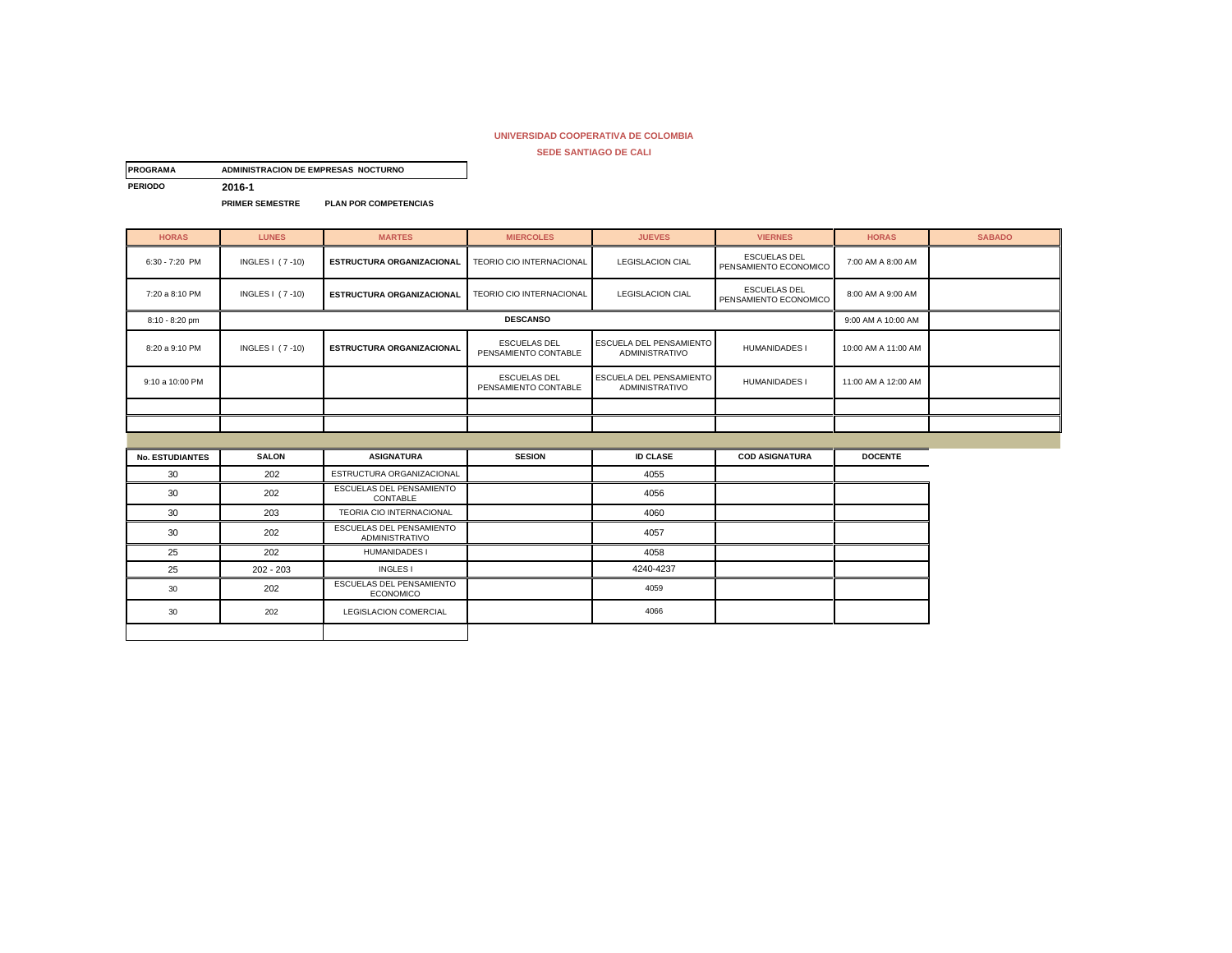| <b>PROGRAMA</b> | ADMINISTRACION DE EMPRESAS NOCTURNO |                              |
|-----------------|-------------------------------------|------------------------------|
| <b>PERIODO</b>  | 2016-1                              |                              |
|                 | <b>PRIMER SEMESTRE</b>              | <b>PLAN POR COMPETENCIAS</b> |

| <b>HORAS</b>           | <b>LUNES</b>           | <b>MARTES</b>                                            | <b>MIERCOLES</b>                            | <b>JUEVES</b>                                           | <b>VIERNES</b>                               | <b>HORAS</b>        | <b>SABADO</b> |
|------------------------|------------------------|----------------------------------------------------------|---------------------------------------------|---------------------------------------------------------|----------------------------------------------|---------------------|---------------|
| 6:30 - 7:20 PM         | <b>INGLES   (7-10)</b> | <b>ESTRUCTURA ORGANIZACIONAL</b>                         | TEORIO CIO INTERNACIONAL                    | <b>LEGISLACION CIAL</b>                                 | <b>ESCUELAS DEL</b><br>PENSAMIENTO ECONOMICO | 7:00 AM A 8:00 AM   |               |
| 7:20 a 8:10 PM         | INGLES   (7-10)        | <b>ESTRUCTURA ORGANIZACIONAL</b>                         | TEORIO CIO INTERNACIONAL                    | <b>LEGISLACION CIAL</b>                                 | <b>ESCUELAS DEL</b><br>PENSAMIENTO ECONOMICO | 8:00 AM A 9:00 AM   |               |
| 8:10 - 8:20 pm         |                        |                                                          | <b>DESCANSO</b>                             |                                                         |                                              | 9:00 AM A 10:00 AM  |               |
| 8:20 a 9:10 PM         | <b>INGLES   (7-10)</b> | <b>ESTRUCTURA ORGANIZACIONAL</b>                         | <b>ESCUELAS DEL</b><br>PENSAMIENTO CONTABLE | <b>ESCUELA DEL PENSAMIENTO</b><br><b>ADMINISTRATIVO</b> | <b>HUMANIDADES I</b>                         | 10:00 AM A 11:00 AM |               |
| 9:10 a 10:00 PM        |                        |                                                          | <b>ESCUELAS DEL</b><br>PENSAMIENTO CONTABLE | ESCUELA DEL PENSAMIENTO<br>ADMINISTRATIVO               | <b>HUMANIDADES I</b>                         | 11:00 AM A 12:00 AM |               |
|                        |                        |                                                          |                                             |                                                         |                                              |                     |               |
|                        |                        |                                                          |                                             |                                                         |                                              |                     |               |
|                        |                        |                                                          |                                             |                                                         |                                              |                     |               |
|                        |                        |                                                          |                                             |                                                         |                                              |                     |               |
| <b>No. ESTUDIANTES</b> | <b>SALON</b>           | <b>ASIGNATURA</b>                                        | <b>SESION</b>                               | <b>ID CLASE</b>                                         | <b>COD ASIGNATURA</b>                        | <b>DOCENTE</b>      |               |
| 30                     | 202                    | ESTRUCTURA ORGANIZACIONAL                                |                                             | 4055                                                    |                                              |                     |               |
| 30                     | 202                    | ESCUELAS DEL PENSAMIENTO<br>CONTABLE                     |                                             | 4056                                                    |                                              |                     |               |
| 30                     | 203                    | TEORIA CIO INTERNACIONAL                                 |                                             | 4060                                                    |                                              |                     |               |
| 30                     | 202                    | <b>ESCUELAS DEL PENSAMIENTO</b><br><b>ADMINISTRATIVO</b> |                                             | 4057                                                    |                                              |                     |               |
| 25                     | 202                    | <b>HUMANIDADES I</b>                                     |                                             | 4058                                                    |                                              |                     |               |
| 25                     | $202 - 203$            | <b>INGLES I</b>                                          |                                             | 4240-4237                                               |                                              |                     |               |
| 30                     | 202                    | ESCUELAS DEL PENSAMIENTO<br><b>ECONOMICO</b>             |                                             | 4059                                                    |                                              |                     |               |
| 30                     | 202                    | <b>LEGISLACION COMERCIAL</b>                             |                                             | 4066                                                    |                                              |                     |               |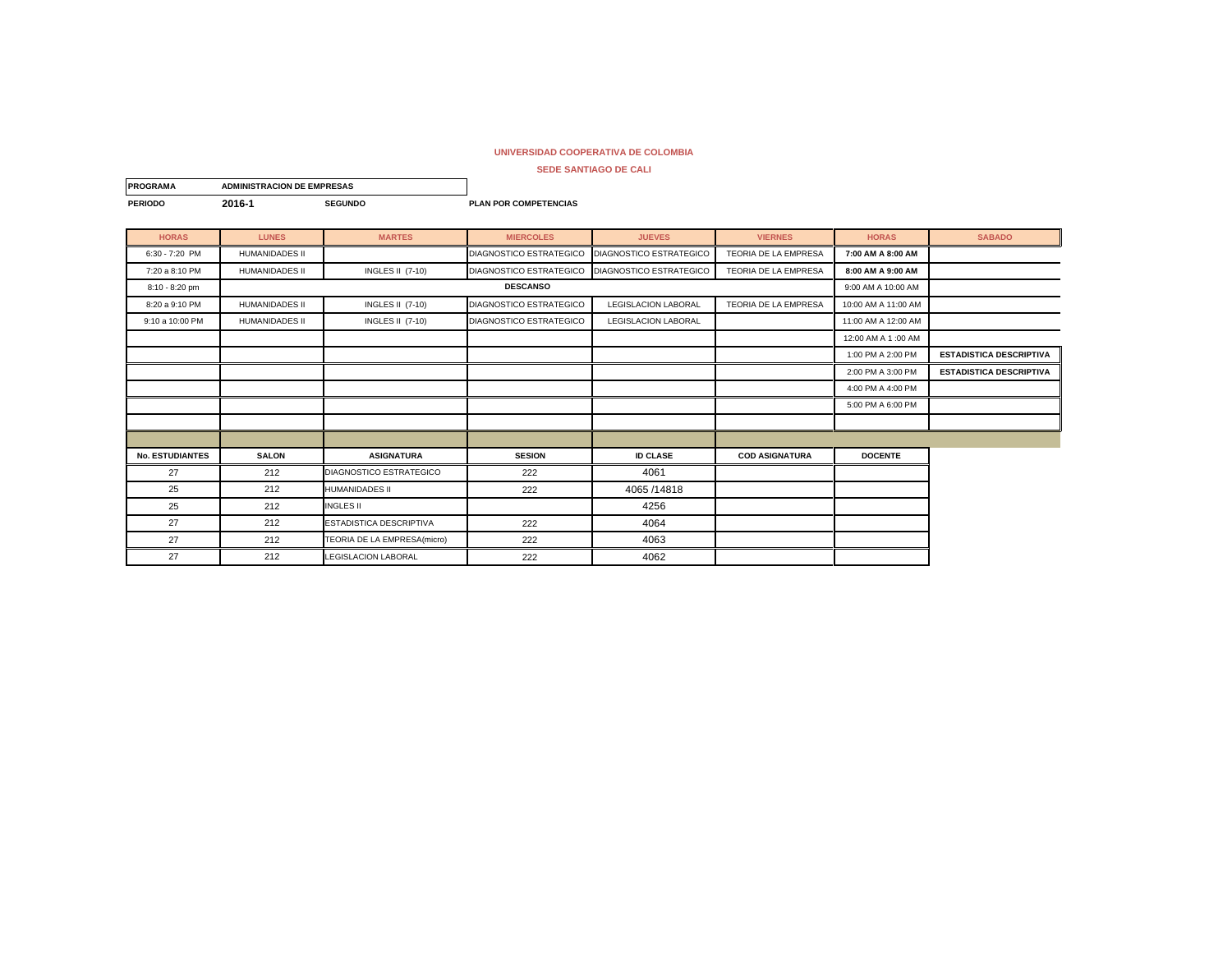| <b>PROGRAMA</b>        | <b>ADMINISTRACION DE EMPRESAS</b> |                                |                              |                                |                             |                     |                                |
|------------------------|-----------------------------------|--------------------------------|------------------------------|--------------------------------|-----------------------------|---------------------|--------------------------------|
| <b>PERIODO</b>         | 2016-1                            | <b>SEGUNDO</b>                 | <b>PLAN POR COMPETENCIAS</b> |                                |                             |                     |                                |
| <b>HORAS</b>           | <b>LUNES</b>                      | <b>MARTES</b>                  | <b>MIERCOLES</b>             | <b>JUEVES</b>                  | <b>VIERNES</b>              | <b>HORAS</b>        | <b>SABADO</b>                  |
| 6:30 - 7:20 PM         | <b>HUMANIDADES II</b>             |                                | DIAGNOSTICO ESTRATEGICO      | DIAGNOSTICO ESTRATEGICO        | TEORIA DE LA EMPRESA        | 7:00 AM A 8:00 AM   |                                |
| 7:20 a 8:10 PM         | <b>HUMANIDADES II</b>             | <b>INGLES II (7-10)</b>        | DIAGNOSTICO ESTRATEGICO      | <b>DIAGNOSTICO ESTRATEGICO</b> | TEORIA DE LA EMPRESA        | 8:00 AM A 9:00 AM   |                                |
| 8:10 - 8:20 pm         |                                   |                                | <b>DESCANSO</b>              |                                |                             | 9:00 AM A 10:00 AM  |                                |
| 8:20 a 9:10 PM         | <b>HUMANIDADES II</b>             | <b>INGLES II (7-10)</b>        | DIAGNOSTICO ESTRATEGICO      | <b>LEGISLACION LABORAL</b>     | <b>TEORIA DE LA EMPRESA</b> | 10:00 AM A 11:00 AM |                                |
| 9:10 a 10:00 PM        | <b>HUMANIDADES II</b>             | <b>INGLES II (7-10)</b>        | DIAGNOSTICO ESTRATEGICO      | LEGISLACION LABORAL            |                             | 11:00 AM A 12:00 AM |                                |
|                        |                                   |                                |                              |                                |                             | 12:00 AM A 1:00 AM  |                                |
|                        |                                   |                                |                              |                                |                             | 1:00 PM A 2:00 PM   | <b>ESTADISTICA DESCRIPTIVA</b> |
|                        |                                   |                                |                              |                                |                             | 2:00 PM A 3:00 PM   | <b>ESTADISTICA DESCRIPTIVA</b> |
|                        |                                   |                                |                              |                                |                             | 4:00 PM A 4:00 PM   |                                |
|                        |                                   |                                |                              |                                |                             | 5:00 PM A 6:00 PM   |                                |
|                        |                                   |                                |                              |                                |                             |                     |                                |
|                        |                                   |                                |                              |                                |                             |                     |                                |
| <b>No. ESTUDIANTES</b> | <b>SALON</b>                      | <b>ASIGNATURA</b>              | <b>SESION</b>                | <b>ID CLASE</b>                | <b>COD ASIGNATURA</b>       | <b>DOCENTE</b>      |                                |
| 27                     | 212                               | DIAGNOSTICO ESTRATEGICO        | 222                          | 4061                           |                             |                     |                                |
| 25                     | 212                               | HUMANIDADES II                 | 222                          | 4065 /14818                    |                             |                     |                                |
| 25                     | 212                               | <b>INGLES II</b>               |                              | 4256                           |                             |                     |                                |
| 27                     | 212                               | <b>ESTADISTICA DESCRIPTIVA</b> | 222                          | 4064                           |                             |                     |                                |
| 27                     | 212                               | TEORIA DE LA EMPRESA(micro)    | 222                          | 4063                           |                             |                     |                                |
| 27                     | 212                               | <b>LEGISLACION LABORAL</b>     | 222                          | 4062                           |                             |                     |                                |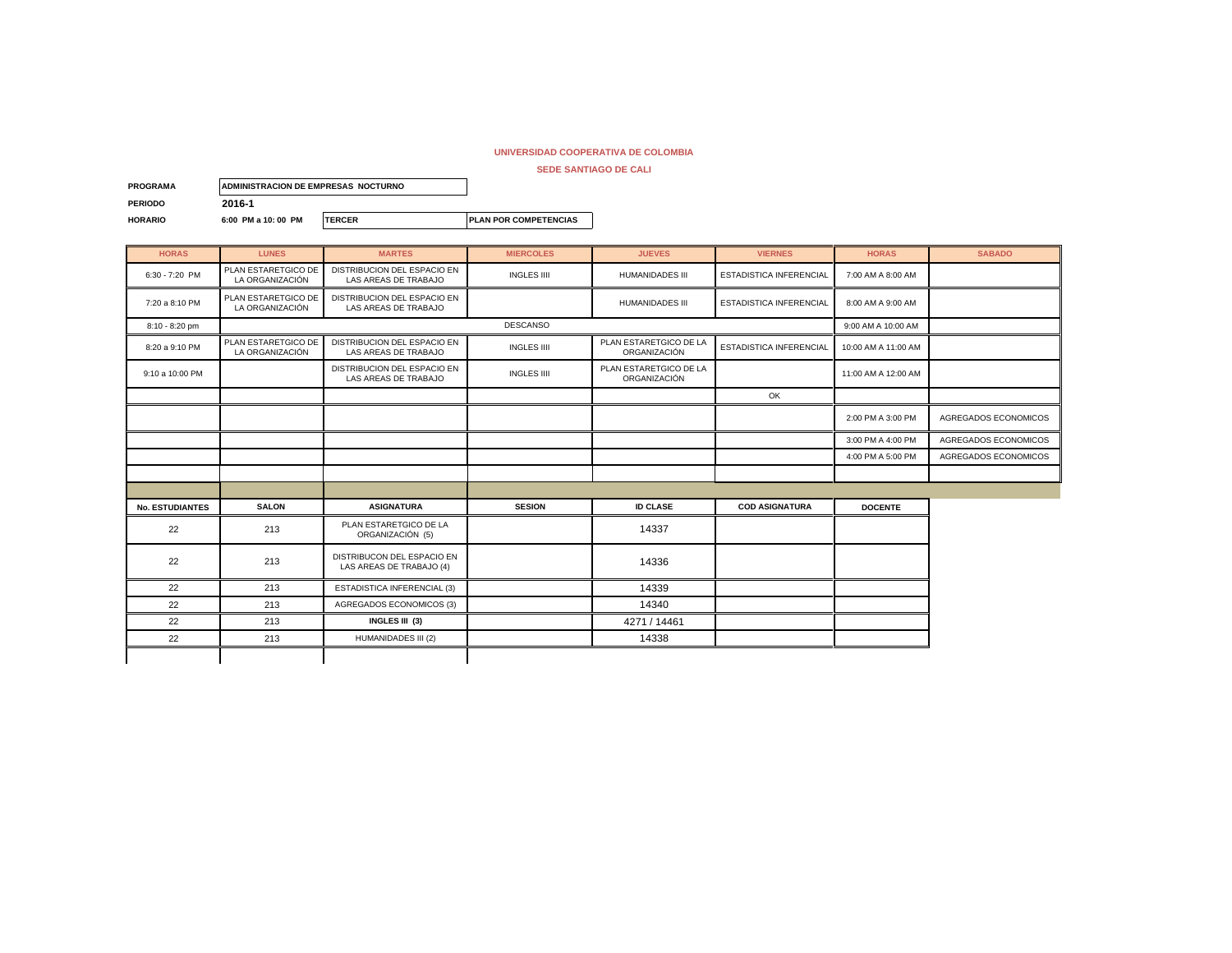| <b>PROGRAMA</b> | <b>IADMINISTRACION DE EMPRESAS NOCTURNO</b> |               |                               |
|-----------------|---------------------------------------------|---------------|-------------------------------|
| <b>PERIODO</b>  | 2016-1                                      |               |                               |
| <b>HORARIO</b>  | 6:00 PM a 10:00 PM                          | <b>TERCER</b> | <b>IPLAN POR COMPETENCIAS</b> |

| <b>HORAS</b>           | <b>LUNES</b>                           | <b>MARTES</b>                                          | <b>MIERCOLES</b>   | <b>JUEVES</b>                          | <b>VIERNES</b>                 | <b>HORAS</b>        | <b>SABADO</b>        |
|------------------------|----------------------------------------|--------------------------------------------------------|--------------------|----------------------------------------|--------------------------------|---------------------|----------------------|
| 6:30 - 7:20 PM         | PLAN ESTARETGICO DE<br>LA ORGANIZACIÓN | DISTRIBUCION DEL ESPACIO EN<br>LAS AREAS DE TRABAJO    | <b>INGLES IIII</b> | <b>HUMANIDADES III</b>                 | ESTADISTICA INFERENCIAL        | 7:00 AM A 8:00 AM   |                      |
| 7:20 a 8:10 PM         | PLAN ESTARETGICO DE<br>LA ORGANIZACIÓN | DISTRIBUCION DEL ESPACIO EN<br>LAS AREAS DE TRABAJO    |                    | <b>HUMANIDADES III</b>                 | <b>ESTADISTICA INFERENCIAL</b> | 8:00 AM A 9:00 AM   |                      |
| 8:10 - 8:20 pm         |                                        |                                                        | <b>DESCANSO</b>    |                                        |                                | 9:00 AM A 10:00 AM  |                      |
| 8:20 a 9:10 PM         | PLAN ESTARETGICO DE<br>LA ORGANIZACIÓN | DISTRIBUCION DEL ESPACIO EN<br>LAS AREAS DE TRABAJO    | <b>INGLES IIII</b> | PLAN ESTARETGICO DE LA<br>ORGANIZACIÓN | <b>ESTADISTICA INFERENCIAL</b> | 10:00 AM A 11:00 AM |                      |
| 9:10 a 10:00 PM        |                                        | DISTRIBUCION DEL ESPACIO EN<br>LAS AREAS DE TRABAJO    | <b>INGLES IIII</b> | PLAN ESTARETGICO DE LA<br>ORGANIZACIÓN |                                | 11:00 AM A 12:00 AM |                      |
|                        |                                        |                                                        |                    |                                        | OK                             |                     |                      |
|                        |                                        |                                                        |                    |                                        |                                | 2:00 PM A 3:00 PM   | AGREGADOS ECONOMICOS |
|                        |                                        |                                                        |                    |                                        |                                | 3:00 PM A 4:00 PM   | AGREGADOS ECONOMICOS |
|                        |                                        |                                                        |                    |                                        |                                | 4:00 PM A 5:00 PM   | AGREGADOS ECONOMICOS |
|                        |                                        |                                                        |                    |                                        |                                |                     |                      |
|                        |                                        |                                                        |                    |                                        |                                |                     |                      |
| <b>No. ESTUDIANTES</b> | <b>SALON</b>                           | <b>ASIGNATURA</b>                                      | <b>SESION</b>      | <b>ID CLASE</b>                        | <b>COD ASIGNATURA</b>          | <b>DOCENTE</b>      |                      |
| 22                     | 213                                    | PLAN ESTARETGICO DE LA<br>ORGANIZACIÓN (5)             |                    | 14337                                  |                                |                     |                      |
| 22                     | 213                                    | DISTRIBUCON DEL ESPACIO EN<br>LAS AREAS DE TRABAJO (4) |                    | 14336                                  |                                |                     |                      |
| 22                     | 213                                    | ESTADISTICA INFERENCIAL (3)                            |                    | 14339                                  |                                |                     |                      |
| 22                     | 213                                    | AGREGADOS ECONOMICOS (3)                               |                    | 14340                                  |                                |                     |                      |
| 22                     | 213                                    | INGLES III (3)                                         |                    | 4271 / 14461                           |                                |                     |                      |
| 22                     | 213                                    | HUMANIDADES III (2)                                    |                    | 14338                                  |                                |                     |                      |
|                        |                                        |                                                        |                    |                                        |                                |                     |                      |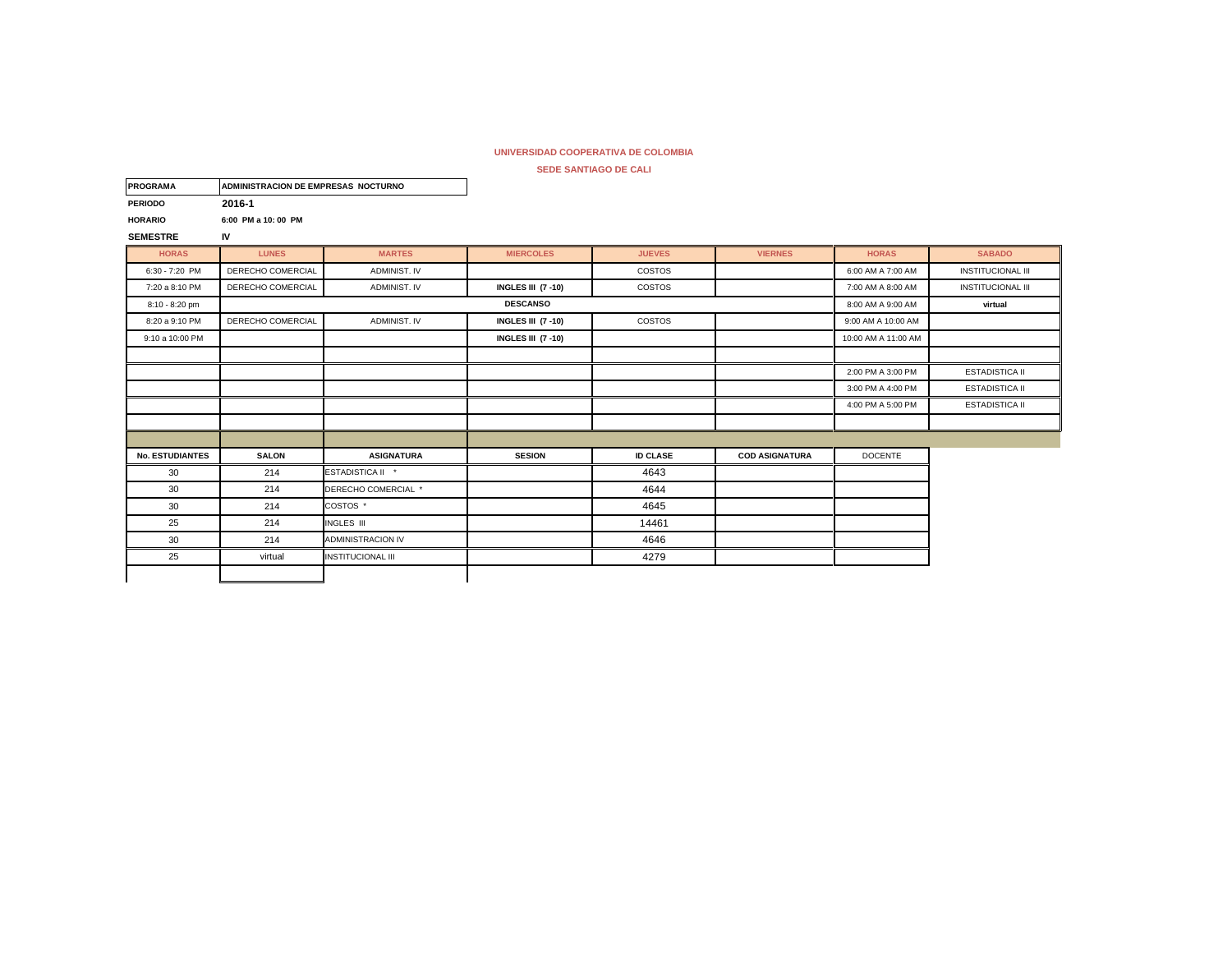| <b>PROGRAMA</b>        | ADMINISTRACION DE EMPRESAS NOCTURNO |                          |                           |                 |                       |                     |                          |
|------------------------|-------------------------------------|--------------------------|---------------------------|-----------------|-----------------------|---------------------|--------------------------|
| <b>PERIODO</b>         | 2016-1                              |                          |                           |                 |                       |                     |                          |
| <b>HORARIO</b>         | 6:00 PM a 10:00 PM                  |                          |                           |                 |                       |                     |                          |
| <b>SEMESTRE</b>        | IV                                  |                          |                           |                 |                       |                     |                          |
| <b>HORAS</b>           | <b>LUNES</b>                        | <b>MARTES</b>            | <b>MIERCOLES</b>          | <b>JUEVES</b>   | <b>VIERNES</b>        | <b>HORAS</b>        | <b>SABADO</b>            |
| 6:30 - 7:20 PM         | DERECHO COMERCIAL                   | ADMINIST. IV             |                           | COSTOS          |                       | 6:00 AM A 7:00 AM   | <b>INSTITUCIONAL III</b> |
| 7:20 a 8:10 PM         | DERECHO COMERCIAL                   | ADMINIST. IV             | <b>INGLES III (7 -10)</b> | COSTOS          |                       | 7:00 AM A 8:00 AM   | <b>INSTITUCIONAL III</b> |
| 8:10 - 8:20 pm         |                                     |                          | <b>DESCANSO</b>           |                 |                       | 8:00 AM A 9:00 AM   | virtual                  |
| 8:20 a 9:10 PM         | DERECHO COMERCIAL                   | ADMINIST. IV             | <b>INGLES III (7 -10)</b> | COSTOS          |                       | 9:00 AM A 10:00 AM  |                          |
| 9:10 a 10:00 PM        |                                     |                          | <b>INGLES III (7 -10)</b> |                 |                       | 10:00 AM A 11:00 AM |                          |
|                        |                                     |                          |                           |                 |                       |                     |                          |
|                        |                                     |                          |                           |                 |                       | 2:00 PM A 3:00 PM   | <b>ESTADISTICA II</b>    |
|                        |                                     |                          |                           |                 |                       | 3:00 PM A 4:00 PM   | <b>ESTADISTICA II</b>    |
|                        |                                     |                          |                           |                 |                       | 4:00 PM A 5:00 PM   | <b>ESTADISTICA II</b>    |
|                        |                                     |                          |                           |                 |                       |                     |                          |
|                        |                                     |                          |                           |                 |                       |                     |                          |
| <b>No. ESTUDIANTES</b> | <b>SALON</b>                        | <b>ASIGNATURA</b>        | <b>SESION</b>             | <b>ID CLASE</b> | <b>COD ASIGNATURA</b> | <b>DOCENTE</b>      |                          |
| 30                     | 214                                 | ESTADISTICA II *         |                           | 4643            |                       |                     |                          |
| 30                     | 214                                 | DERECHO COMERCIAL *      |                           | 4644            |                       |                     |                          |
| 30                     | 214                                 | COSTOS <sup>*</sup>      |                           | 4645            |                       |                     |                          |
| 25                     | 214                                 | INGLES III               |                           | 14461           |                       |                     |                          |
| 30                     | 214                                 | <b>ADMINISTRACION IV</b> |                           | 4646            |                       |                     |                          |
| 25                     | virtual                             | <b>INSTITUCIONAL III</b> |                           | 4279            |                       |                     |                          |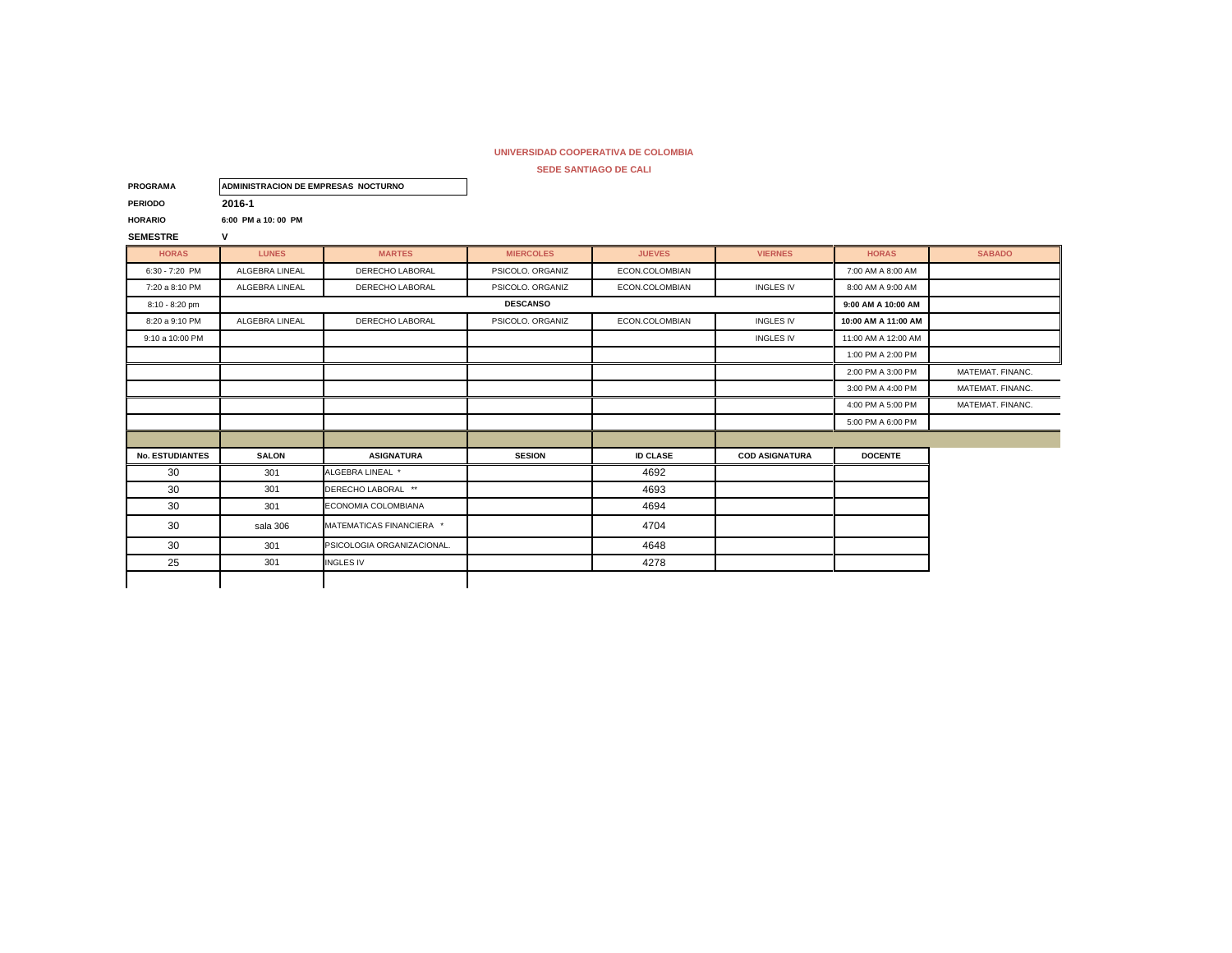| <b>PROGRAMA</b>        | ADMINISTRACION DE EMPRESAS NOCTURNO |                            |                  |                 |                       |                     |                  |
|------------------------|-------------------------------------|----------------------------|------------------|-----------------|-----------------------|---------------------|------------------|
| <b>PERIODO</b>         | 2016-1                              |                            |                  |                 |                       |                     |                  |
| <b>HORARIO</b>         | 6:00 PM a 10:00 PM                  |                            |                  |                 |                       |                     |                  |
| <b>SEMESTRE</b>        | V                                   |                            |                  |                 |                       |                     |                  |
| <b>HORAS</b>           | <b>LUNES</b>                        | <b>MARTES</b>              | <b>MIERCOLES</b> | <b>JUEVES</b>   | <b>VIERNES</b>        | <b>HORAS</b>        | <b>SABADO</b>    |
| $6:30 - 7:20$ PM       | ALGEBRA LINEAL                      | DERECHO LABORAL            | PSICOLO, ORGANIZ | ECON.COLOMBIAN  |                       | 7:00 AM A 8:00 AM   |                  |
| 7:20 a 8:10 PM         | ALGEBRA LINEAL                      | DERECHO LABORAL            | PSICOLO. ORGANIZ | ECON.COLOMBIAN  | <b>INGLES IV</b>      | 8:00 AM A 9:00 AM   |                  |
| 8:10 - 8:20 pm         |                                     |                            | <b>DESCANSO</b>  |                 |                       | 9:00 AM A 10:00 AM  |                  |
| 8:20 a 9:10 PM         | ALGEBRA LINEAL                      | DERECHO LABORAL            | PSICOLO. ORGANIZ | ECON.COLOMBIAN  | <b>INGLES IV</b>      | 10:00 AM A 11:00 AM |                  |
| 9:10 a 10:00 PM        |                                     |                            |                  |                 | <b>INGLES IV</b>      | 11:00 AM A 12:00 AM |                  |
|                        |                                     |                            |                  |                 |                       | 1:00 PM A 2:00 PM   |                  |
|                        |                                     |                            |                  |                 |                       | 2:00 PM A 3:00 PM   | MATEMAT, FINANC. |
|                        |                                     |                            |                  |                 |                       | 3:00 PM A 4:00 PM   | MATEMAT. FINANC. |
|                        |                                     |                            |                  |                 |                       | 4:00 PM A 5:00 PM   | MATEMAT, FINANC. |
|                        |                                     |                            |                  |                 |                       | 5:00 PM A 6:00 PM   |                  |
|                        |                                     |                            |                  |                 |                       |                     |                  |
| <b>No. ESTUDIANTES</b> | <b>SALON</b>                        | <b>ASIGNATURA</b>          | <b>SESION</b>    | <b>ID CLASE</b> | <b>COD ASIGNATURA</b> | <b>DOCENTE</b>      |                  |
| 30                     | 301                                 | ALGEBRA LINEAL *           |                  | 4692            |                       |                     |                  |
| 30                     | 301                                 | DERECHO LABORAL **         |                  | 4693            |                       |                     |                  |
| 30                     | 301                                 | ECONOMIA COLOMBIANA        |                  | 4694            |                       |                     |                  |
| 30                     | sala 306                            | MATEMATICAS FINANCIERA *   |                  | 4704            |                       |                     |                  |
| 30                     | 301                                 | PSICOLOGIA ORGANIZACIONAL. |                  | 4648            |                       |                     |                  |
| 25                     | 301                                 | <b>INGLES IV</b>           |                  | 4278            |                       |                     |                  |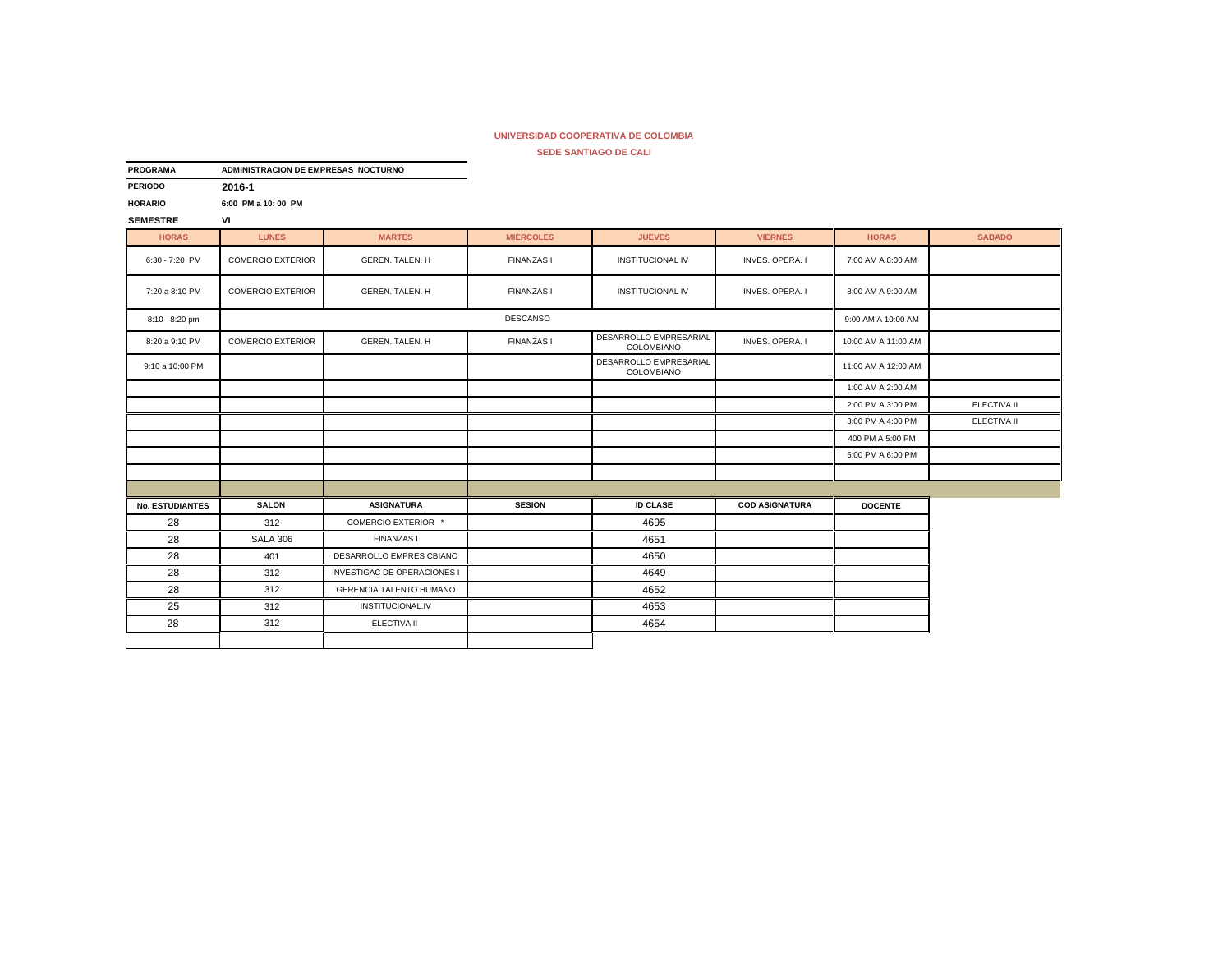**SEDE SANTIAGO DE CALI**

| <b>PROGRAMA</b>        | ADMINISTRACION DE EMPRESAS NOCTURNO |                                    |                   |                                      |                       |                     |                    |
|------------------------|-------------------------------------|------------------------------------|-------------------|--------------------------------------|-----------------------|---------------------|--------------------|
| <b>PERIODO</b>         | 2016-1                              |                                    |                   |                                      |                       |                     |                    |
| <b>HORARIO</b>         | 6:00 PM a 10:00 PM                  |                                    |                   |                                      |                       |                     |                    |
| <b>SEMESTRE</b>        | VI                                  |                                    |                   |                                      |                       |                     |                    |
| <b>HORAS</b>           | <b>LUNES</b>                        | <b>MARTES</b>                      | <b>MIERCOLES</b>  | <b>JUEVES</b>                        | <b>VIERNES</b>        | <b>HORAS</b>        | <b>SABADO</b>      |
| 6:30 - 7:20 PM         | <b>COMERCIO EXTERIOR</b>            | <b>GEREN. TALEN. H</b>             | <b>FINANZAS1</b>  | <b>INSTITUCIONAL IV</b>              | INVES. OPERA. I       | 7:00 AM A 8:00 AM   |                    |
| 7:20 a 8:10 PM         | <b>COMERCIO EXTERIOR</b>            | GEREN, TALEN, H                    | <b>FINANZAS I</b> | <b>INSTITUCIONAL IV</b>              | INVES. OPERA. I       | 8:00 AM A 9:00 AM   |                    |
| 8:10 - 8:20 pm         |                                     |                                    | <b>DESCANSO</b>   |                                      |                       | 9:00 AM A 10:00 AM  |                    |
| 8:20 a 9:10 PM         | <b>COMERCIO EXTERIOR</b>            | <b>GEREN, TALEN, H</b>             | <b>FINANZAS I</b> | DESARROLLO EMPRESARIAL<br>COLOMBIANO | INVES. OPERA. I       | 10:00 AM A 11:00 AM |                    |
| 9:10 a 10:00 PM        |                                     |                                    |                   | DESARROLLO EMPRESARIAL<br>COLOMBIANO |                       | 11:00 AM A 12:00 AM |                    |
|                        |                                     |                                    |                   |                                      |                       | 1:00 AM A 2:00 AM   |                    |
|                        |                                     |                                    |                   |                                      |                       | 2:00 PM A 3:00 PM   | <b>ELECTIVA II</b> |
|                        |                                     |                                    |                   |                                      |                       | 3:00 PM A 4:00 PM   | ELECTIVA II        |
|                        |                                     |                                    |                   |                                      |                       | 400 PM A 5:00 PM    |                    |
|                        |                                     |                                    |                   |                                      |                       | 5:00 PM A 6:00 PM   |                    |
|                        |                                     |                                    |                   |                                      |                       |                     |                    |
|                        |                                     |                                    |                   |                                      |                       |                     |                    |
| <b>No. ESTUDIANTES</b> | <b>SALON</b>                        | <b>ASIGNATURA</b>                  | <b>SESION</b>     | <b>ID CLASE</b>                      | <b>COD ASIGNATURA</b> | <b>DOCENTE</b>      |                    |
| 28                     | 312                                 | COMERCIO EXTERIOR *                |                   | 4695                                 |                       |                     |                    |
| 28                     | <b>SALA 306</b>                     | <b>FINANZAS I</b>                  |                   | 4651                                 |                       |                     |                    |
| 28                     | 401                                 | DESARROLLO EMPRES CBIANO           |                   | 4650                                 |                       |                     |                    |
| 28                     | 312                                 | <b>INVESTIGAC DE OPERACIONES I</b> |                   | 4649                                 |                       |                     |                    |
| 28                     | 312                                 | GERENCIA TALENTO HUMANO            |                   | 4652                                 |                       |                     |                    |
| 25                     | 312                                 | INSTITUCIONAL.IV                   |                   | 4653                                 |                       |                     |                    |
| 28                     | 312                                 | ELECTIVA II                        |                   | 4654                                 |                       |                     |                    |
|                        |                                     |                                    |                   |                                      |                       |                     |                    |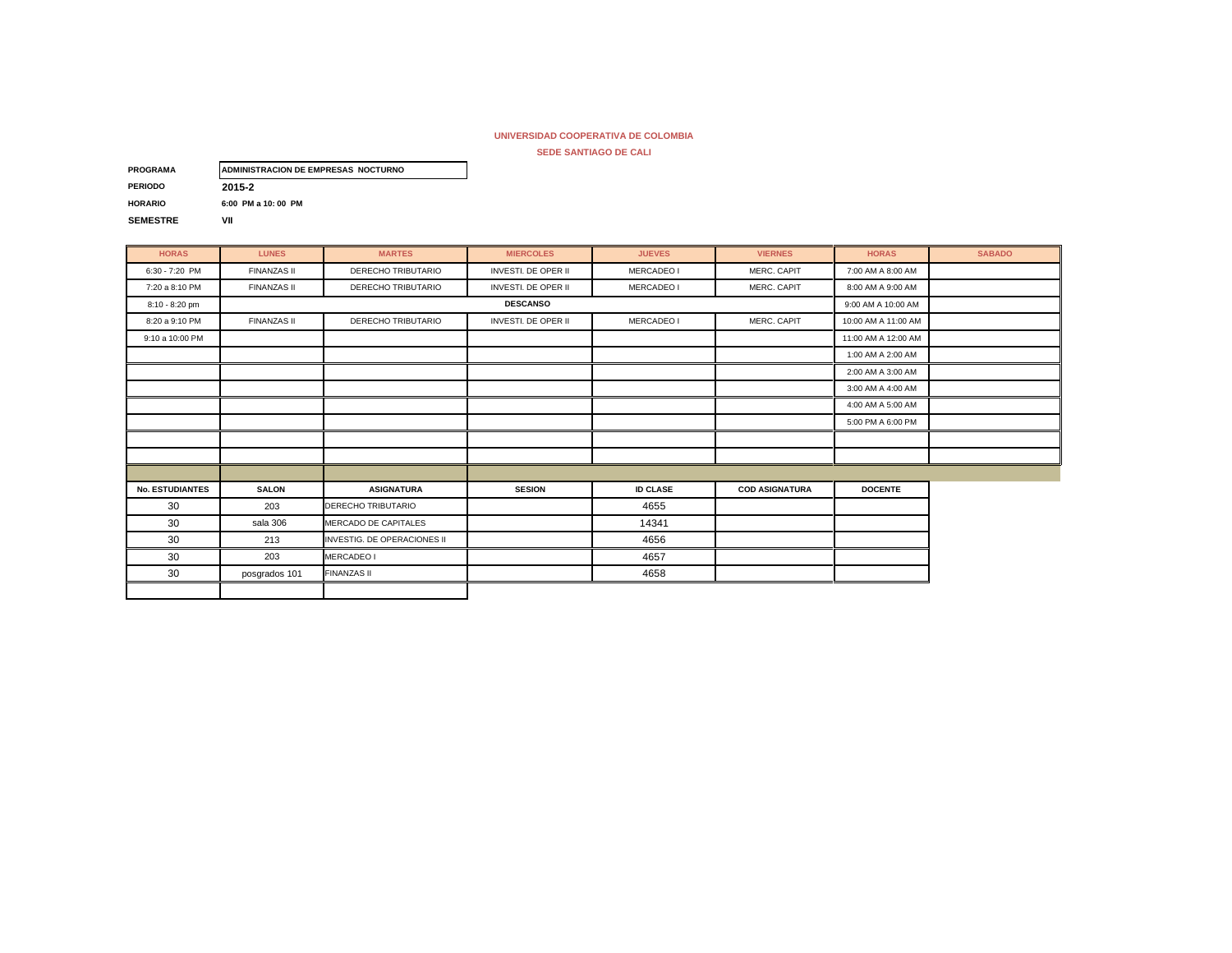| <b>PROGRAMA</b> | ADMINISTRACION DE EMPRESAS NOCTURNO |
|-----------------|-------------------------------------|
| <b>PERIODO</b>  | 2015-2                              |
| <b>HORARIO</b>  | 6:00 PM a 10:00 PM                  |
| <b>SEMESTRE</b> | VII                                 |

| <b>HORAS</b>           | <b>LUNES</b>       | <b>MARTES</b>               | <b>MIERCOLES</b>           | <b>JUEVES</b>   | <b>VIERNES</b>        | <b>HORAS</b>        | <b>SABADO</b> |
|------------------------|--------------------|-----------------------------|----------------------------|-----------------|-----------------------|---------------------|---------------|
| $6:30 - 7:20$ PM       | <b>FINANZAS II</b> | DERECHO TRIBUTARIO          | <b>INVESTI, DE OPER II</b> | MERCADEO I      | MERC, CAPIT           | 7:00 AM A 8:00 AM   |               |
| 7:20 a 8:10 PM         | <b>FINANZAS II</b> | DERECHO TRIBUTARIO          | <b>INVESTI. DE OPER II</b> | MERCADEO I      | MERC. CAPIT           | 8:00 AM A 9:00 AM   |               |
| 8:10 - 8:20 pm         |                    |                             | <b>DESCANSO</b>            |                 |                       | 9:00 AM A 10:00 AM  |               |
| 8:20 a 9:10 PM         | <b>FINANZAS II</b> | DERECHO TRIBUTARIO          | <b>INVESTI. DE OPER II</b> | MERCADEO I      | MERC. CAPIT           | 10:00 AM A 11:00 AM |               |
| 9:10 a 10:00 PM        |                    |                             |                            |                 |                       | 11:00 AM A 12:00 AM |               |
|                        |                    |                             |                            |                 |                       | 1:00 AM A 2:00 AM   |               |
|                        |                    |                             |                            |                 |                       | 2:00 AM A 3:00 AM   |               |
|                        |                    |                             |                            |                 |                       | 3:00 AM A 4:00 AM   |               |
|                        |                    |                             |                            |                 |                       | 4:00 AM A 5:00 AM   |               |
|                        |                    |                             |                            |                 |                       | 5:00 PM A 6:00 PM   |               |
|                        |                    |                             |                            |                 |                       |                     |               |
|                        |                    |                             |                            |                 |                       |                     |               |
|                        |                    |                             |                            |                 |                       |                     |               |
| <b>No. ESTUDIANTES</b> | <b>SALON</b>       | <b>ASIGNATURA</b>           | <b>SESION</b>              | <b>ID CLASE</b> | <b>COD ASIGNATURA</b> | <b>DOCENTE</b>      |               |
| 30                     | 203                | <b>DERECHO TRIBUTARIO</b>   |                            | 4655            |                       |                     |               |
| 30                     | sala 306           | MERCADO DE CAPITALES        |                            | 14341           |                       |                     |               |
| 30                     | 213                | INVESTIG. DE OPERACIONES II |                            | 4656            |                       |                     |               |
| 30                     | 203                | MERCADEO I                  |                            | 4657            |                       |                     |               |
| 30                     | posgrados 101      | <b>FINANZAS II</b>          |                            | 4658            |                       |                     |               |
|                        |                    |                             |                            |                 |                       |                     |               |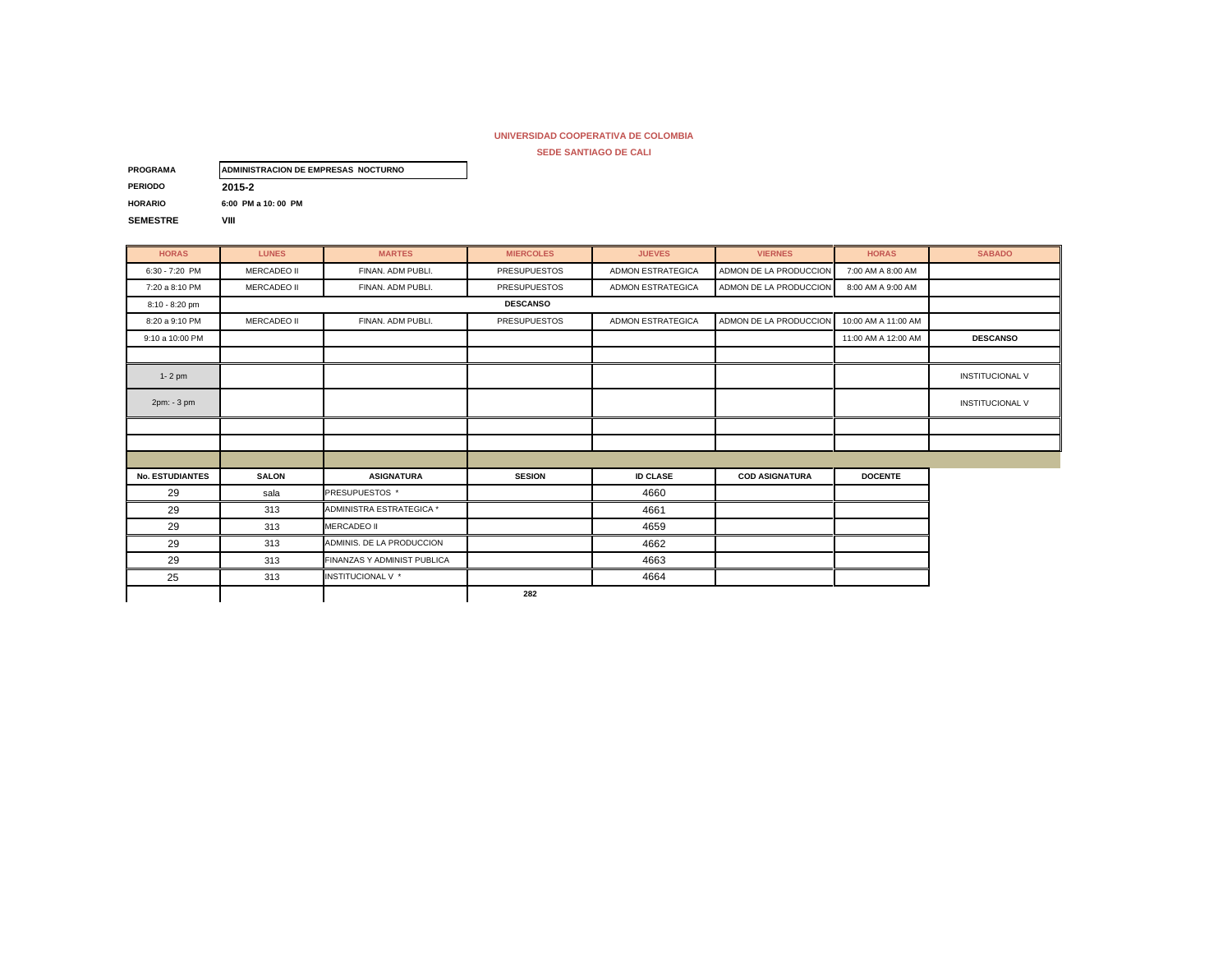| <b>PROGRAMA</b> | ADMINISTRACION DE EMPRESAS NOCTURNO |
|-----------------|-------------------------------------|
| <b>PERIODO</b>  | 2015-2                              |
| <b>HORARIO</b>  | 6:00 PM a 10:00 PM                  |
| <b>SEMESTRE</b> | VIII                                |

| <b>HORAS</b>           | <b>LUNES</b>       | <b>MARTES</b>               | <b>MIERCOLES</b>    | <b>JUEVES</b>            | <b>VIERNES</b>         | <b>HORAS</b>        | <b>SABADO</b>          |
|------------------------|--------------------|-----------------------------|---------------------|--------------------------|------------------------|---------------------|------------------------|
| 6:30 - 7:20 PM         | <b>MERCADEO II</b> | FINAN. ADM PUBLI.           | <b>PRESUPUESTOS</b> | <b>ADMON ESTRATEGICA</b> | ADMON DE LA PRODUCCION | 7:00 AM A 8:00 AM   |                        |
| 7:20 a 8:10 PM         | <b>MERCADEO II</b> | FINAN. ADM PUBLI.           | <b>PRESUPUESTOS</b> | <b>ADMON ESTRATEGICA</b> | ADMON DE LA PRODUCCION | 8:00 AM A 9:00 AM   |                        |
| 8:10 - 8:20 pm         |                    |                             | <b>DESCANSO</b>     |                          |                        |                     |                        |
| 8:20 a 9:10 PM         | <b>MERCADEO II</b> | FINAN, ADM PUBLI.           | <b>PRESUPUESTOS</b> | <b>ADMON ESTRATEGICA</b> | ADMON DE LA PRODUCCION | 10:00 AM A 11:00 AM |                        |
| 9:10 a 10:00 PM        |                    |                             |                     |                          |                        | 11:00 AM A 12:00 AM | <b>DESCANSO</b>        |
|                        |                    |                             |                     |                          |                        |                     |                        |
| $1 - 2$ pm             |                    |                             |                     |                          |                        |                     | <b>INSTITUCIONAL V</b> |
| 2pm: - 3 pm            |                    |                             |                     |                          |                        |                     | <b>INSTITUCIONAL V</b> |
|                        |                    |                             |                     |                          |                        |                     |                        |
|                        |                    |                             |                     |                          |                        |                     |                        |
|                        |                    |                             |                     |                          |                        |                     |                        |
| <b>No. ESTUDIANTES</b> | <b>SALON</b>       | <b>ASIGNATURA</b>           | <b>SESION</b>       | <b>ID CLASE</b>          | <b>COD ASIGNATURA</b>  | <b>DOCENTE</b>      |                        |
| 29                     | sala               | <b>PRESUPUESTOS</b> *       |                     | 4660                     |                        |                     |                        |
| 29                     | 313                | ADMINISTRA ESTRATEGICA *    |                     | 4661                     |                        |                     |                        |
| 29                     | 313                | <b>MERCADEO II</b>          |                     | 4659                     |                        |                     |                        |
| 29                     | 313                | ADMINIS. DE LA PRODUCCION   |                     | 4662                     |                        |                     |                        |
| 29                     | 313                | FINANZAS Y ADMINIST PUBLICA |                     | 4663                     |                        |                     |                        |
| 25                     | 313                | INSTITUCIONAL V *           |                     | 4664                     |                        |                     |                        |
|                        |                    |                             | 282                 |                          |                        |                     |                        |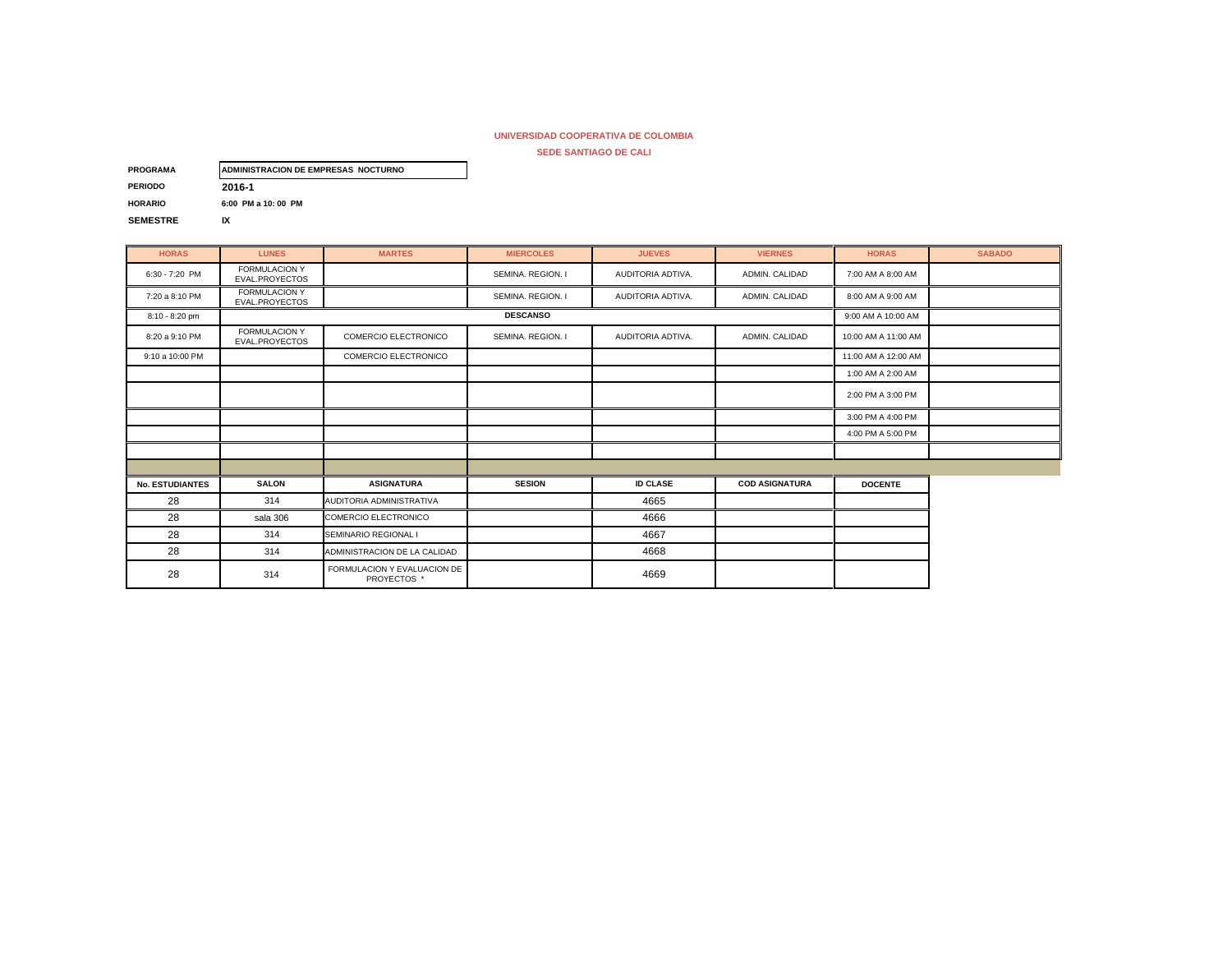**SEDE SANTIAGO DE CALI**

| <b>PROGRAMA</b> | ADMINISTRACION DE EMPRESAS NOCTURNO |
|-----------------|-------------------------------------|
| <b>PERIODO</b>  | 2016-1                              |
| <b>HORARIO</b>  | 6:00 PM a 10:00 PM                  |
| <b>SEMESTRE</b> | IX                                  |

**HORAS LUNES MARTES MIERCOLES JUEVES VIERNES HORAS SABADO** 6:30 - 7:20 PM FORMULACION Y<br>EVAL.PROYECTOS T GNINDLAGION T SEMINA. REGION. I AUDITORIA ADTIVA. ∴ ADMIN. CALIDAD 7:00 AM A 8:00 AM<br>EVAL.PROYECTOS I 7:20 a 8:10 PM FORMULACION Y " OKIMDLO-OOK I SEMINA. REGION. I AUDITORIA ADTIVA. ∥ ADMIN. CALIDAD 8:00 AM A 9:00 AM<br>EVAL.PROYECTOS 8:10 - 8:20 pm 9:00 AM A 10:00 AM A 10:00 AM 8:20 a 9:10 PM FORMULACION Y COMERCIO ELECTRONICO SEMINA. REGION. I AUDITORIA ADTIVA. ADMIN. CALIDAD 10:00 AM A 11:00 AM<br>EVAL.PROYECTOS COMERCIO ELECTRONICO SEMINA. REGION. I AUDITORIA ADTIVA. ADMIN. CALIDAD 10:00 AM A 11: 9:10 a 10:00 PM COMERCIO ELECTRONICO **12:00 AM A 12:00 AM A 12:00 AM** 1:00 AM A 2:00 AM 2:00 PM A 3:00 PM 3:00 PM A 4:00 PM 4:00 PM A 5:00 PM **No. ESTUDIANTES SALON ASIGNATURA SESION ID CLASE COD ASIGNATURA DOCENTE** 28 **314 AUDITORIA ADMINISTRATIVA AUDITORIA ADMINISTRATIVA** 28 **Sala 306** COMERCIO ELECTRONICO **COMERCIO ELECTRONICO** COMERCIO **ACCESSI** 28 314 SEMINARIO REGIONAL I 4667 28 **314 ADMINISTRACION DE LA CALIDAD 1000 1200** 4668 28 314 FORMULACION Y EVALUACION DE ACION Y EVALUACION DE **Acion de Santa Caracteria (n. 1879).**<br>PROYECTOS \* 4669 **DESCANSO**